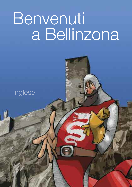# Benvenuti a Bellinzona

# Inglese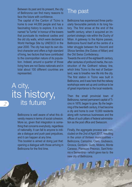Between its past and its present, the city of Bellinzona can find many reasons to face the future with confidence.

The capital of the Canton of Ticino is home to over 44,000 people and has a fascinating history to explore. It is nicknamed "la Turrita" in honour of the towers that punctuate its medieval castles and the old city walls, which were declared a World Heritage Site by UNESCO in the year 2000. The city has kept its own distinct character and offers a high standard of living, two factors that have contributed to the cosmopolitan nature of its population. Indeed, around a quarter of those living here are not Swiss nationals and in total about 100 different countries are represented.

## A city, its history, its future

Bellinzona is well aware of what this diversity means in terms of social cohesion. More so, given that integration is something that concerns everybody, regardless of nationality. It can fall to anyone to initiate a dialogue and push past prejudices, and it can happen at any time.

This booklet is aimed at doing just that: opening a dialogue with those arriving in Bellinzona for the first time.

#### The past

Bellinzona has experienced three particularly favourable periods in its long history. The first arose at the end of the twelfth century, when it acquired an important strategic role within the Duchy of Milan. A gateway to the Alpine passes, Bellinzona found itself at the centre of a bitter struggle between the Visconti and Sforza families (the Dukes of Milan) and the Old Swiss Confederacy.

Towards the end of the eighteenth century, after centuries of profound inertia, the construction of the Gotthard railway line, which links Ticino to the rest of Switzerland, was to breathe new life into the city. The first station in Ticino was built in Bellinzona, and it was here that the railway workshops were set up and continue to be of great importance to the local residents.

Then the small provincial town of Bellinzona, named permanent capital of Ticino in 1878, began to grow. By the beginning of the twentieth century, it had become a city and home to over 10,000 residents along with numerous businesses and the offices of such pillars of federal administration as the post office and Swisscom.

Finally, the aggregate process was concluded on the 2nd of April 2017, resulting in the union of thirteen municipalities – Bellinzona, Camorino, Claro, Giubiasco, Gnosca, Gorduno, Gudo, Moleno, Monte Carasso, Pianezzo Preonzo, Sant'Antonio e Sementina – which gave rise to the new city of Bellinzona.

**MI**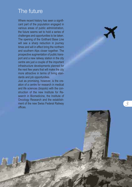## The future

Where recent history has seen a signifii i i i cant part of the population engaged in l i i various areas of public administration, i l i i i i the future seems set to hold a series of l i challenges and opportunities to be taken. l l i i The opening of the Gotthard Base Line i i will see a sharp reduction in journey i l l i i j times and will in effect bring the northern i i l l i i and southern Alps closer together. The l l prospective augmentation of public transi i l i port and a new railway station in the city i l i i i centre are just a couple of the important l i i nfrastructure developments planned for l l the next few years that will make the city i l l i more attractive in terms of living stani i l i i dards and job opportunities. i i

Just as promising, however, is the crei i i ation of a centre for research in medica i i i l and life sciences (biopolo) with the conl i i i l i struction of the new Institute for Rei i search in Biomedicine, the Institute of i i i i i Oncology Research and the establishl l i ment of the new Swiss Federal Railway i l i l offices. i

*3*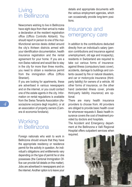#### Living in Bellinzona

Newcomers wishing to live in Bellinzona have eight days from their arrival to make a declaration at the resident registration office (Ufficio Controllo Abitanti). You should report in person to one of the multifunctional service desks dotted around the city's thirteen districts armed with your identification documentation, health insurance registration and the rental agreement for your home. If you are a non-Swiss national and would like to stay in the city for more than three months, you need to obtain a residence permit from the immigration office (Ufficio Stranieri).

If you are looking for apartments, these are advertised in various newspapers and on the internet, or you could contact one of the estate agents in the city. Information on rental regulations is available from the Swiss Tenants Association (Associazione svizzera degli inquilini), or at an association of property owners (Camera di economia fondiaria).

#### **Working** in Bellinzona

Foreign nationals who wish to work in Bellinzona should ensure that they have the appropriate residency or residence permit for the activity in question. An individual's obligations and entitlements vary depending on the type of permit he or she possesses (the Cantonal Immigration Office can provide full details on this matter). Jobs are advertised in newspapers and on the internet.Another option is to leave your

details and appropriate documents with the various employment agencies, which can occasionally provide long-term positions.

#### Insurance and emergency care

In addition to the contributions deducted directly from an individual's salary (pension contributions and insurance against unemployment, old age and incapacity), residents in Switzerland are required to take out various forms of insurance: against illness (compulsory basic cover), accidents, damage to buildings and contents caused by fire or natural disasters, and car or motorcycle insurance (thirdparty liability) for owners of a vehicle. All other forms of insurance, on the other hand (extended illness cover, private third-party liability insurance) are optional.

There are many health insurance providers to choose from. All providers are obliged to provide basic health cover for whomever requests it. Basic health insurance covers the cost of treatment provided by doctors and hospitals.

The Accident and Emergency department at the Bellinzona e Valli Regional Hospital offers outpatient services when required.

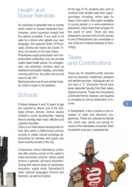#### Health and Social Services

An individual is generally free to choose which doctor to receive treatment from. However, some insurance models limit the options available. If you wish to be seen by a doctor who speaks your own language, the regional Order of Physicians (Ordine dei medici del Canton Ticino) can advise on the best choice.

Pharmacies supply prescription and nonprescription medication and can provide useful, basic health advice. For emergencies, one pharmacy remains open on weekends and public holidays, and every evening until 8 pm. Any later and you will have to call 1811.

Bellinzona also has its own dental hospital, which is open to all residents.

#### **Schools**

Children between 4 and 10 years of age are required to attend one of the free, state primary schools. School assists children's social development, helping them to develop their motor, affective and cognitive faculties.

There is an intercultural development officer who works in Bellinzona's primary schools to create cultural exchange opportunities for families and pupils who have recently arrived in the city.

Compulsory school attendance continues after primary school at the canton's lower-secondary schools, where pupils receive a general, all-round education. During their eleven years of compulsory education, pupils study Switzerland's other national languages (French and German), as well as English.

At the age of 16, students who wish to continue their studies start their uppersecondary schooling, which lasts for three or four years. One option available to young people is a work-experience placement, which helps them prepare for the world of work. There are also preparatory courses that provide access to one of Switzerland's ten universities or one of the two Federal Institutes of Technology.

#### **Taxes** and Contributions

Taxes pay for important public services such as education, healthcare, transport and welfare services. Individuals who do not have a "C" (Domicile) Permit have taxes deducted directly from their salary (taxed at source). Those who do possess a Domicile Permit, however, are required to complete an annual declaration of income.

In Switzerland, a fee is levied on the reception of radio and television programmes. These are collected by Serafe AG, which also sends out annual invoices to the individuals concerned. Each household must pay a separate fee.

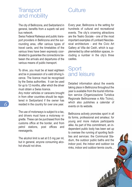## Culture

#### **Transport** and mobility

The city of Bellinzona, and Switzerland in general, benefits from a superb rail and bus network.

Swiss Federal Railways and public transport providers in Bellinzona and the surrounding area, offer various types of travel cards, and the timetables of the various lines have been expressly coordinated to guarantee the connections between the arrivals and departures of the various means of public transport.

To drive, you must be at least eighteen and be in possession of a valid driving licence. The licence must be recognised by the Swiss authorities. It can be used for up to 12 months, after which the driver must obtain a Swiss licence.

Any motor vehicles or caravans brought in from other countries should be registered in Switzerland if the owner has resided in the country for over one year.

The use of motorways is subject to a tax, and drivers must have a motorway vignette. These can be purchased from the customs office at the border, and from petrol stations, post offices and newsagents.

The alcohol limit is set at 0.5 mg per ml. but in general, anyone consuming alcohol should not drive.

Every year, Bellinzona is the setting for hundreds of cultural and recreational events. The city's crowning attractions are the Teatro Sociale - one of the most important examples of Lombard Neoclassical architecture - and the Civic Art Gallery at Villa dei Cedri, which is supplemented by other exhibition spaces, including a number in the city's three castles.

#### **Sport** and leisure

Detailed information about the events taking place in Bellinzona throughout the year is available from the tourist information service (Organizzazione Turistica Regionale Bellinzonese e Alto Ticino), which also publishes a calendar of events on its website.

Bellinzona actively promotes sport in all its forms, professional and amateur, for young and more mature participants alike. As part of this commitment, an independent public body has been set up to oversee the running of sporting facilities and services: the Communal Stadium, the outdoor public baths and the indoor pool, the indoor and outdoor ice rinks, indoor and outdoor tennis courts...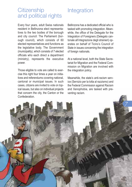#### **Citizenship** and political rights

Every four years, adult Swiss nationals resident in Bellinzona elect representatives to the two bodies of the borough and city council: The Parliament (borough council), which consists of 60 elected representatives and functions as the legislative body. The Government (municipality), which consists of 7 elected officials who each direct a department (ministry), represents the executive power.

Those eligible to vote are called to exercise this right four times a year on initiatives and referendums covering national, cantonal or municipal issues. In such cases, citizens are invited to vote on topical issues, but also on individual projects that concern the city, the Canton or the Confederation.

## **Integration**

Bellinzona has a dedicated official who is tasked with promoting integration. Meanwhile, the office of the Delegate for the Integration of Foreigners (Delegato cantonale all'integrazione degli stranieri) operates on behalf of Ticino's Council of State in issues concerning the integration of foreign nationals.

At a national level, both the State Secretariat for Migration and the Federal Commission on Migration are involved with the integration policy.

Meanwhile, the state's anti-racism service (Servizio per la lotta al razzismo) and the Federal Commission against Racism and Xenophobia, are tasked with preventing racism.